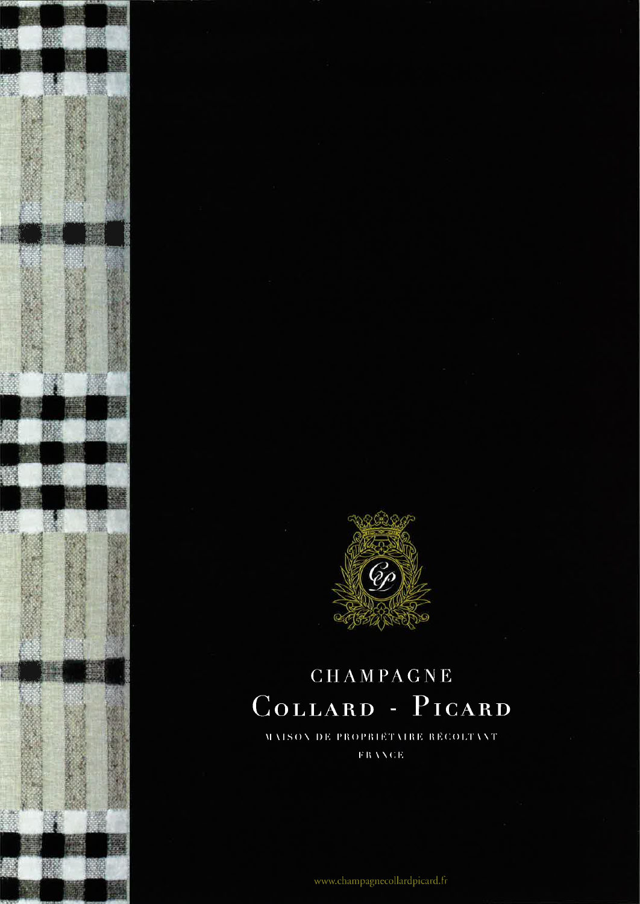

#### CHAMPAGNE COLLARD - PICARD

MAISON DE PROPRIÉTAIRE RÉCOLTANT **FRANCE**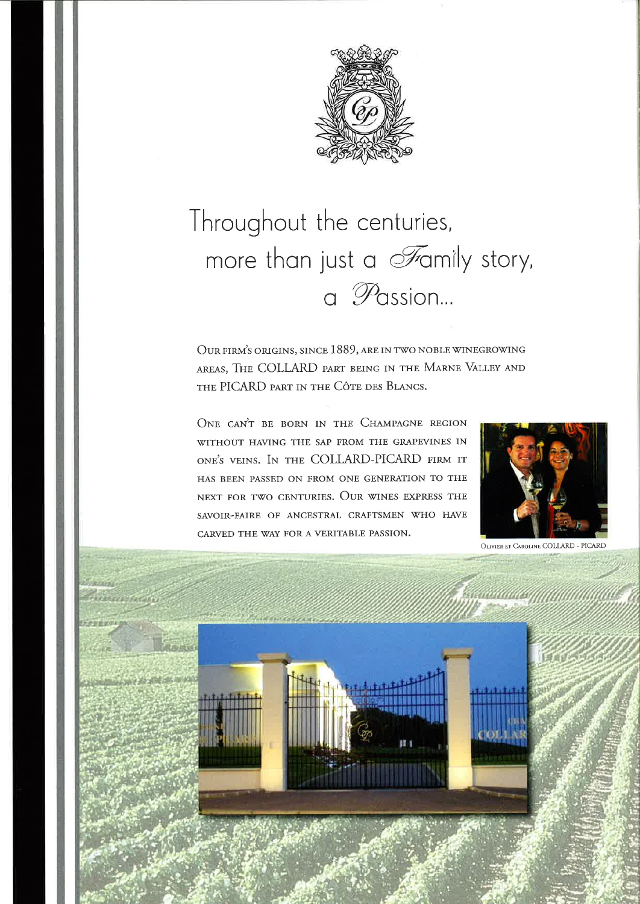

# Throughout the centuries, more than just a Framily story, a Passion...

OUR FIRM'S ORIGINS, SINCE 1889, ARE IN TWO NOBLE WINEGROWING AREAS, THE COLLARD PART BEING IN THE MARNE VALLEY AND THE PICARD PART IN THE CÔTE DES BLANCS.

ONE CAN'T BE BORN IN THE CHAMPAGNE REGION WITHOUT HAVING THE SAP FROM THE GRAPEVINES IN ONE'S VEINS. IN THE COLLARD-PICARD FIRM IT HAS BEEN PASSED ON FROM ONE GENERATION TO THE NEXT FOR TWO CENTURIES. OUR WINES EXPRESS THE SAVOIR-FAIRE OF ANCESTRAL CRAFTSMEN WHO HAVE CARVED THE WAY FOR A VERITABLE PASSION.



OLIVIER ET CAROLINE COLLARD - PICARD

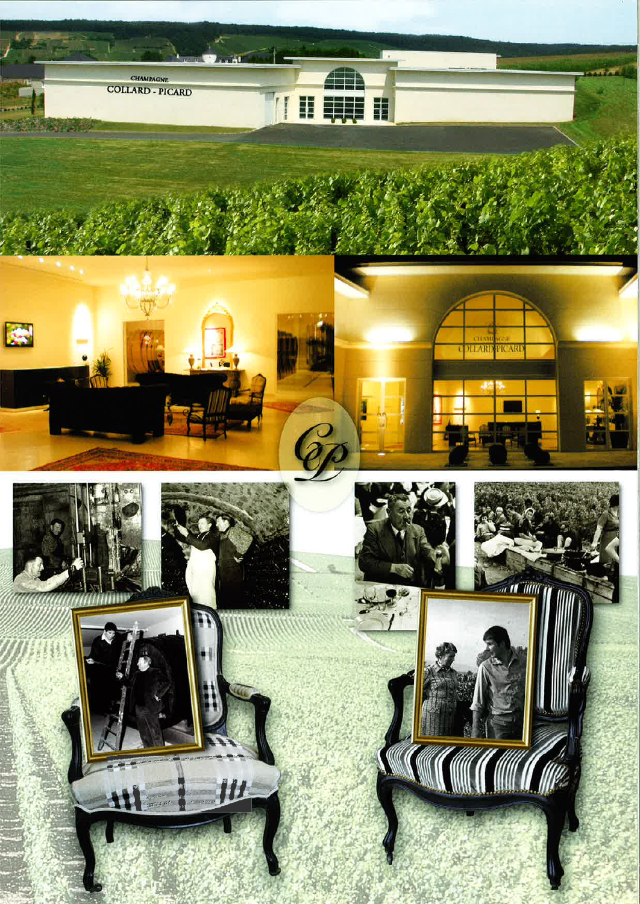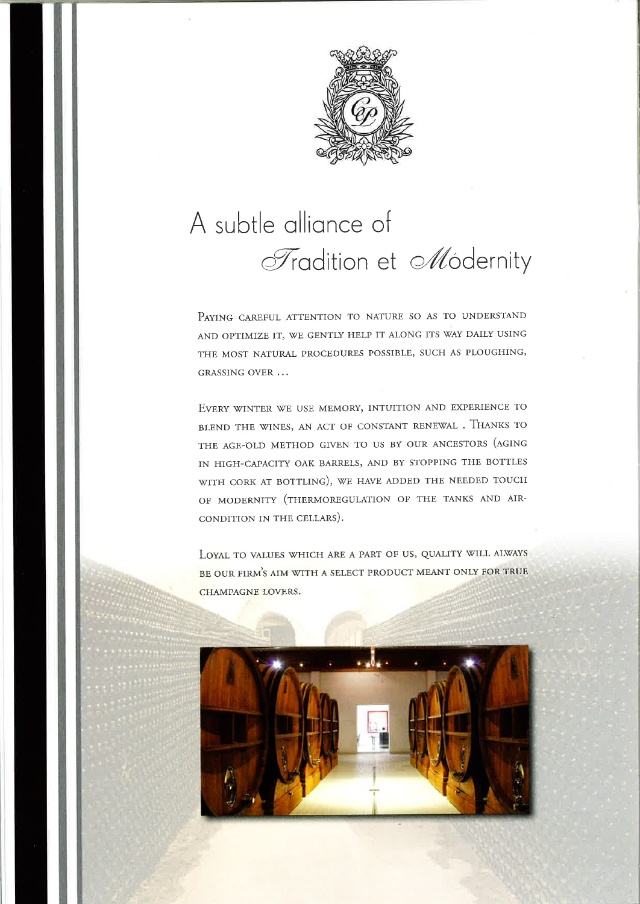

## A subtle alliance of Tradition et Modernity

PAYING CAREFUL ATTENTION TO NATURE SO AS TO UNDERSTAND AND OPTIMIZE IT, WE GENTLY HELP IT ALONG ITS WAY DAILY USING THE MOST NATURAL PROCEDURES POSSIBLE, SUCH AS PLOUGHING, **GRASSING OVER ...** 

EVERY WINTER WE USE MEMORY, INTUITION AND EXPERIENCE TO BLEND THE WINES, AN ACT OF CONSTANT RENEWAL. THANKS TO THE AGE-OLD METHOD GIVEN TO US BY OUR ANCESTORS (AGING IN HIGH-CAPACITY OAK BARRELS, AND BY STOPPING THE BOTTLES WITH CORK AT BOTTLING), WE HAVE ADDED THE NEEDED TOUCH OF MODERNITY (THERMOREGULATION OF THE TANKS AND AIR-CONDITION IN THE CELLARS).

LOYAL TO VALUES WHICH ARE A PART OF US, QUALITY WILL ALWAYS BE OUR FIRM'S AIM WITH A SELECT PRODUCT MEANT ONLY FOR TRUE CHAMPAGNE LOVERS.

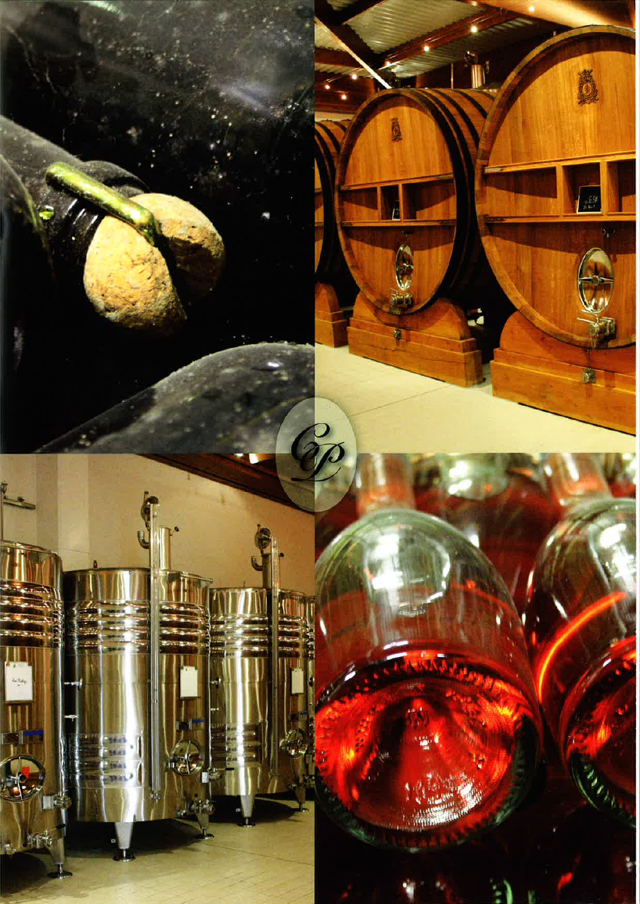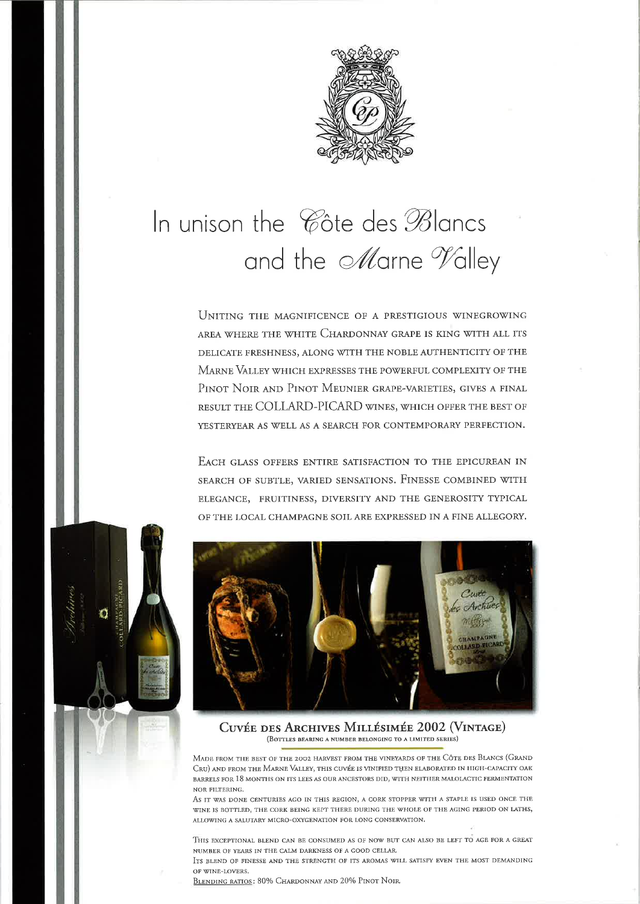

## In unison the *C*ôte des *B*lancs and the *Marne Valley*

UNITING THE MAGNIFICENCE OF A PRESTIGIOUS WINEGROWING AREA WHERE THE WHITE CHARDONNAY GRAPE IS KING WITH ALL ITS DELICATE FRESHNESS, ALONG WITH THE NOBLE AUTHENTICITY OF THE MARNE VALLEY WHICH EXPRESSES THE POWERFUL COMPLEXITY OF THE PINOT NOIR AND PINOT MEUNIER GRAPE-VARIETIES, GIVES A FINAL RESULT THE COLLARD-PICARD WINES, WHICH OFFER THE BEST OF YESTERYEAR AS WELL AS A SEARCH FOR CONTEMPORARY PERFECTION.

EACH GLASS OFFERS ENTIRE SATISFACTION TO THE EPICUREAN IN SEARCH OF SUBTLE, VARIED SENSATIONS. FINESSE COMBINED WITH ELEGANCE, FRUITINESS, DIVERSITY AND THE GENEROSITY TYPICAL OF THE LOCAL CHAMPAGNE SOIL ARE EXPRESSED IN A FINE ALLEGORY.





#### CUVÉE DES ARCHIVES MILLÉSIMÉE 2002 (VINTAGE) (BOTTLES BEARING A NUMBER BELONGING TO A LIMITED SERIES)

MADE FROM THE BEST OF THE 2002 HARVEST FROM THE VINEYARDS OF THE CÔTE DES BLANCS (GRAND CRU) AND FROM THE MARNE VALLEY, THIS CUVÉE IS VINIFIED THEN ELABORATED IN HIGH-CAPACITY OAK BARRELS FOR 18 MONTHS ON ITS LEES AS OUR ANCESTORS DID, WITH NEITHER MALOLACTIC FERMENTATION NOR FILTERING.

AS IT WAS DONE CENTURIES AGO IN THIS REGION, A CORK STOPPER WITH A STAPLE IS USED ONCE THE WINE IS BOTTLED, THE CORK BEING KEPT THERE DURING THE WHOLE OF THE AGING PERIOD ON LATHS, ALLOWING A SALUTARY MICRO-OXYGENATION FOR LONG CONSERVATION.

THIS EXCEPTIONAL BLEND CAN BE CONSUMED AS OF NOW BUT CAN ALSO BE LEFT TO AGE FOR A GREAT NUMBER OF YEARS IN THE CALM DARKNESS OF A GOOD CELLAR.

ITS BLEND OF FINESSE AND THE STRENGTH OF ITS AROMAS WILL SATISFY EVEN THE MOST DEMANDING OF WINE-LOVERS.

BLENDING RATIOS: 80% CHARDONNAY AND 20% PINOT NOIR.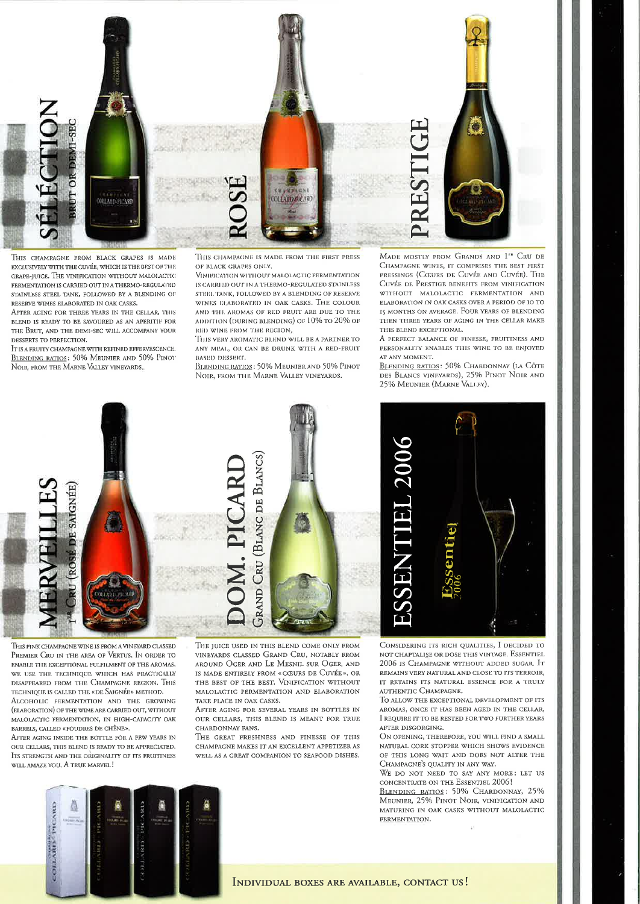

THIS CHAMPAGNE FROM BLACK GRAPES IS MADE EXCLUSIVELY WITH THE CUVÉE, WHICH IS THE BEST OF THE GRAPE-JUICE. THE VINIFICATION WITHOUT MALOLACTIC FERMENTATION IS CARRIED OUT IN A THERMO-REGULATED STAINLESS STEEL TANK, FOLLOWED BY A BLENDING OF RESERVE WINES ELABORATED IN OAK CASKS.

AFTER AGING FOR THREE YEARS IN THE CELLAR, THIS BLEND IS READY TO BE SAVOURED AS AN APERITIF FOR THE BRUT, AND THE DEMI-SEC WILL ACCOMPANY YOUR DESSERTS TO PERFECTION.

IT IS A FRUITY CHAMPAGNE WITH REFINED EFFERVESCENCE. BLENDING RATIOS: 50% MEUNIER AND 50% PINOT NOIR, FROM THE MARNE VALLEY VINEYARDS,

THIS CHAMPAGNE IS MADE FROM THE FIRST PRESS OF BLACK GRAPES ONLY,

VINIFICATION WITHOUT MALOLACTIC FERMENTATION IS CARRIED OUT IN A THERMO-REGULATED STAINLESS STEEL TANK, FOLLOWED BY A BLENDING OF RESERVE WINES ELABORATED IN OAK CASKS. THE COLOUR AND THE AROMAS OF RED FRUIT ARE DUE TO THE ADDITION (DURING BLENDING) OF 10% TO 20% OF RED WINE FROM THE REGION.

THIS VERY AROMATIC BLEND WILL BE A PARTNER TO ANY MEAL. OR CAN BE DRUNK WITH A RED-FRUIT **BASED DESSERT.** 

BLENDING RATIOS: 50% MEUNIER AND 50% PINOT NOIR, FROM THE MARNE VALLEY VINEYARDS.

MADE MOSTLY FROM GRANDS AND 1<sup>ER</sup> CRU DE CHAMPAGNE WINES, IT COMPRISES THE BEST FIRST PRESSINGS (CŒURS DE CUVÉE AND CUVÉE). THE CUVÉE DE PRESTIGE BENEFITS FROM VINIFICATION WITHOUT MALOLACTIC FERMENTATION AND ELABORATION IN OAK CASKS OVER A PERIOD OF IO TO IS MONTHS ON AVERAGE. FOUR YEARS OF BLENDING THEN THREE YEARS OF AGING IN THE CELLAR MAKE THIS BLEND EXCEPTIONAL.

A PERFECT BALANCE OF FINESSE, FRUITINESS AND PERSONALITY ENABLES THIS WINE TO BE ENJOYED AT ANY MOMENT.

BLENDING RATIOS: 50% CHARDONNAY (LA CÔTE DES BLANCS VINEYARDS), 25% PINOT NOIR AND 25% MEUNIER (MARNE VALLEY).



THIS PINK CHAMPAGNE WINE IS FROM A VINEYARD CLASSED PREMIER CRU IN THE AREA OF VERTUS. IN ORDER TO ENABLE THE EXCEPTIONAL FULFILMENT OF THE AROMAS, WE USE THE TECHNIQUE WHICH HAS PRACTICALLY DISAPPEARED FROM THE CHAMPAGNE REGION. THIS TECHNIQUE IS CALLED THE «DE SAIGNÉE» METHOD. ALCOHOLIC FERMENTATION AND THE GROWING (ELABORATION) OF THE WINE ARE CARRIED OUT, WITHOUT MALOLACTIC FERMENTATION, IN HIGH-CAPACITY OAK BARRELS, CALLED «FOUDRES DE CHÊNE».

AFTER AGING INSIDE THE BOTTLE FOR A FEW YEARS IN OUR CELLARS, THIS BLEND IS READY TO BE APPRECIATED. ITS STRENGTH AND THE ORIGINALITY OF ITS FRUITINESS WILL AMAZE YOU, A TRUE MARVEL!

THE JUICE USED IN THIS BLEND COME ONLY FROM VINEYARDS CLASSED GRAND CRU, NOTABLY FROM AROUND OGER AND LE MESNIL SUR OGER, AND IS MADE ENTIRELY FROM « CŒURS DE CUVÉE », OR THE BEST OF THE BEST. VINIFICATION WITHOUT MALOLACTIC FERMENTATION AND ELABORATION TAKE PLACE IN OAK CASKS.

AFTER AGING FOR SEVERAL YEARS IN BOTTLES IN OUR CELLARS, THIS BLEND IS MEANT FOR TRUE CHARDONNAY FANS.

THE GREAT FRESHNESS AND FINESSE OF THIS CHAMPAGNE MAKES IT AN EXCELLENT APPETIZER AS WELL AS A GREAT COMPANION TO SEAFOOD DISHES.



CONSIDERING ITS RICH QUALITIES, I DECIDED TO NOT CHAPTALISE OR DOSE THIS VINTAGE. ESSENTIEL 2006 IS CHAMPAGNE WITHOUT ADDED SUGAR. IT REMAINS VERY NATURAL AND CLOSE TO ITS TERROIR, IT RETAINS ITS NATURAL ESSENCE FOR A TRULY AUTHENTIC CHAMPAGNE.

TO ALLOW THE EXCEPTIONAL DEVELOPMENT OF ITS AROMAS, ONCE IT HAS BEEN AGED IN THE CELLAR, I REQUIRE IT TO BE RESTED FOR TWO FURTHER YEARS AFTER DISGORGING.

ON OPENING, THEREFORE, YOU WILL FIND A SMALL NATURAL CORK STOPPER WHICH SHOWS EVIDENCE OF THIS LONG WAIT AND DOES NOT ALTER THE CHAMPAGNE'S QUALITY IN ANY WAY.

WE DO NOT NEED TO SAY ANY MORE: LET US CONCENTRATE ON THE ESSENTIEL 2006!

BLENDING RATIOS: 50% CHARDONNAY, 25% MEUNIER, 25% PINOT NOIR, VINIFICATION AND MATURING IN OAK CASKS WITHOUT MALOLACTIC FERMENTATION.